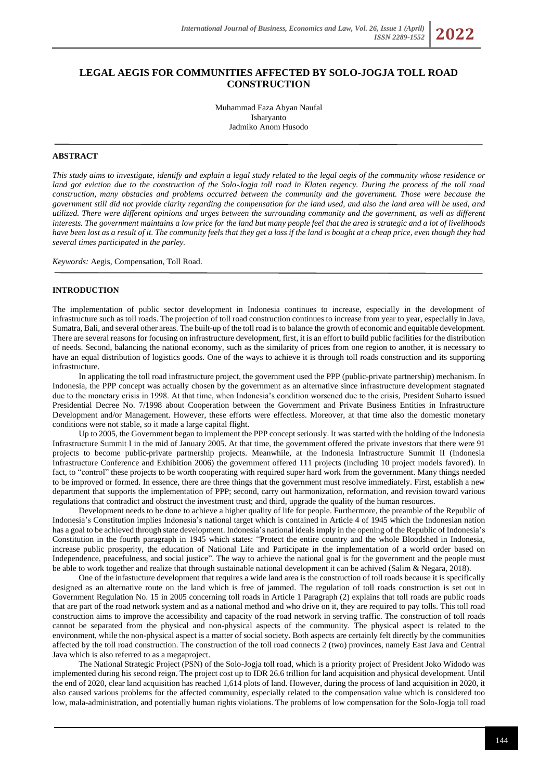# **LEGAL AEGIS FOR COMMUNITIES AFFECTED BY SOLO-JOGJA TOLL ROAD CONSTRUCTION**

Muhammad Faza Abyan Naufal Isharyanto Jadmiko Anom Husodo

## **ABSTRACT**

*This study aims to investigate, identify and explain a legal study related to the legal aegis of the community whose residence or land got eviction due to the construction of the Solo-Jogja toll road in Klaten regency. During the process of the toll road construction, many obstacles and problems occurred between the community and the government. Those were because the government still did not provide clarity regarding the compensation for the land used, and also the land area will be used, and utilized. There were different opinions and urges between the surrounding community and the government, as well as different interests. The government maintains a low price for the land but many people feel that the area is strategic and a lot of livelihoods have been lost as a result of it. The community feels that they get a loss if the land is bought at a cheap price, even though they had several times participated in the parley.*

*Keywords:* Aegis, Compensation, Toll Road.

#### **INTRODUCTION**

The implementation of public sector development in Indonesia continues to increase, especially in the development of infrastructure such as toll roads. The projection of toll road construction continues to increase from year to year, especially in Java, Sumatra, Bali, and several other areas. The built-up of the toll road is to balance the growth of economic and equitable development. There are several reasons for focusing on infrastructure development, first, it is an effort to build public facilities for the distribution of needs. Second, balancing the national economy, such as the similarity of prices from one region to another, it is necessary to have an equal distribution of logistics goods. One of the ways to achieve it is through toll roads construction and its supporting infrastructure.

In applicating the toll road infrastructure project, the government used the PPP (public-private partnership) mechanism. In Indonesia, the PPP concept was actually chosen by the government as an alternative since infrastructure development stagnated due to the monetary crisis in 1998. At that time, when Indonesia's condition worsened due to the crisis, President Suharto issued Presidential Decree No. 7/1998 about Cooperation between the Government and Private Business Entities in Infrastructure Development and/or Management. However, these efforts were effectless. Moreover, at that time also the domestic monetary conditions were not stable, so it made a large capital flight.

Up to 2005, the Government began to implement the PPP concept seriously. It was started with the holding of the Indonesia Infrastructure Summit I in the mid of January 2005. At that time, the government offered the private investors that there were 91 projects to become public-private partnership projects. Meanwhile, at the Indonesia Infrastructure Summit II (Indonesia Infrastructure Conference and Exhibition 2006) the government offered 111 projects (including 10 project models favored). In fact, to "control" these projects to be worth cooperating with required super hard work from the government. Many things needed to be improved or formed. In essence, there are three things that the government must resolve immediately. First, establish a new department that supports the implementation of PPP; second, carry out harmonization, reformation, and revision toward various regulations that contradict and obstruct the investment trust; and third, upgrade the quality of the human resources.

Development needs to be done to achieve a higher quality of life for people. Furthermore, the preamble of the Republic of Indonesia's Constitution implies Indonesia's national target which is contained in Article 4 of 1945 which the Indonesian nation has a goal to be achieved through state development. Indonesia's national ideals imply in the opening of the Republic of Indonesia's Constitution in the fourth paragraph in 1945 which states: "Protect the entire country and the whole Bloodshed in Indonesia, increase public prosperity, the education of National Life and Participate in the implementation of a world order based on Independence, peacefulness, and social justice". The way to achieve the national goal is for the government and the people must be able to work together and realize that through sustainable national development it can be achived (Salim & Negara, 2018).

One of the infastucture development that requires a wide land area is the construction of toll roads because it is specifically designed as an alternative route on the land which is free of jammed. The regulation of toll roads construction is set out in Government Regulation No. 15 in 2005 concerning toll roads in Article 1 Paragraph (2) explains that toll roads are public roads that are part of the road network system and as a national method and who drive on it, they are required to pay tolls. This toll road construction aims to improve the accessibility and capacity of the road network in serving traffic. The construction of toll roads cannot be separated from the physical and non-physical aspects of the community. The physical aspect is related to the environment, while the non-physical aspect is a matter of social society. Both aspects are certainly felt directly by the communities affected by the toll road construction. The construction of the toll road connects 2 (two) provinces, namely East Java and Central Java which is also referred to as a megaproject.

The National Strategic Project (PSN) of the Solo-Jogja toll road, which is a priority project of President Joko Widodo was implemented during his second reign. The project cost up to IDR 26.6 trillion for land acquisition and physical development. Until the end of 2020, clear land acquisition has reached 1,614 plots of land. However, during the process of land acquisition in 2020, it also caused various problems for the affected community, especially related to the compensation value which is considered too low, mala-administration, and potentially human rights violations. The problems of low compensation for the Solo-Jogja toll road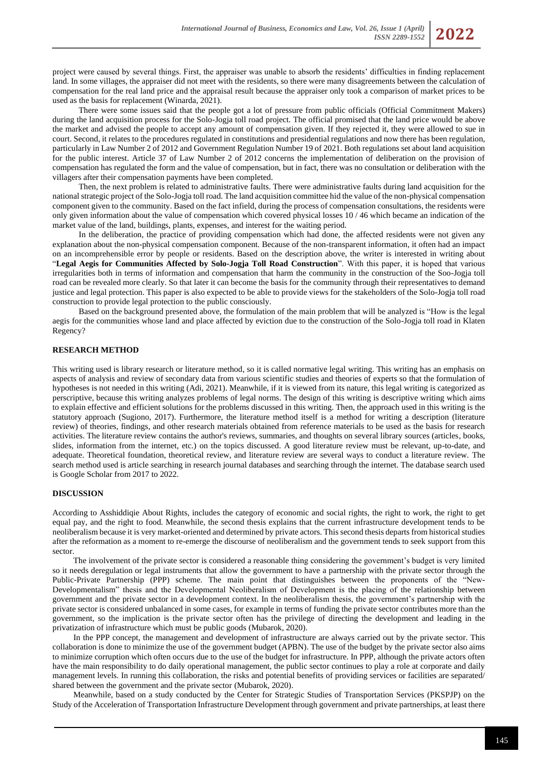project were caused by several things. First, the appraiser was unable to absorb the residents' difficulties in finding replacement land. In some villages, the appraiser did not meet with the residents, so there were many disagreements between the calculation of compensation for the real land price and the appraisal result because the appraiser only took a comparison of market prices to be used as the basis for replacement (Winarda, 2021).

There were some issues said that the people got a lot of pressure from public officials (Official Commitment Makers) during the land acquisition process for the Solo-Jogia toll road project. The official promised that the land price would be above the market and advised the people to accept any amount of compensation given. If they rejected it, they were allowed to sue in court. Second, it relates to the procedures regulated in constitutions and presidential regulations and now there has been regulation, particularly in Law Number 2 of 2012 and Government Regulation Number 19 of 2021. Both regulations set about land acquisition for the public interest. Article 37 of Law Number 2 of 2012 concerns the implementation of deliberation on the provision of compensation has regulated the form and the value of compensation, but in fact, there was no consultation or deliberation with the villagers after their compensation payments have been completed.

Then, the next problem is related to administrative faults. There were administrative faults during land acquisition for the national strategic project of the Solo-Jogja toll road. The land acquisition committee hid the value of the non-physical compensation component given to the community. Based on the fact infield, during the process of compensation consultations, the residents were only given information about the value of compensation which covered physical losses 10 / 46 which became an indication of the market value of the land, buildings, plants, expenses, and interest for the waiting period.

In the deliberation, the practice of providing compensation which had done, the affected residents were not given any explanation about the non-physical compensation component. Because of the non-transparent information, it often had an impact on an incomprehensible error by people or residents. Based on the description above, the writer is interested in writing about "**Legal Aegis for Communities Affected by Solo-Jogja Toll Road Construction**". With this paper, it is hoped that various irregularities both in terms of information and compensation that harm the community in the construction of the Soo-Jogja toll road can be revealed more clearly. So that later it can become the basis for the community through their representatives to demand justice and legal protection. This paper is also expected to be able to provide views for the stakeholders of the Solo-Jogja toll road construction to provide legal protection to the public consciously.

Based on the background presented above, the formulation of the main problem that will be analyzed is "How is the legal aegis for the communities whose land and place affected by eviction due to the construction of the Solo-Jogja toll road in Klaten Regency?

## **RESEARCH METHOD**

This writing used is library research or literature method, so it is called normative legal writing. This writing has an emphasis on aspects of analysis and review of secondary data from various scientific studies and theories of experts so that the formulation of hypotheses is not needed in this writing (Adi, 2021). Meanwhile, if it is viewed from its nature, this legal writing is categorized as perscriptive, because this writing analyzes problems of legal norms. The design of this writing is descriptive writing which aims to explain effective and efficient solutions for the problems discussed in this writing. Then, the approach used in this writing is the statutory approach (Sugiono, 2017). Furthermore, the literature method itself is a method for writing a description (literature review) of theories, findings, and other research materials obtained from reference materials to be used as the basis for research activities. The literature review contains the author's reviews, summaries, and thoughts on several library sources (articles, books, slides, information from the internet, etc.) on the topics discussed. A good literature review must be relevant, up-to-date, and adequate. Theoretical foundation, theoretical review, and literature review are several ways to conduct a literature review. The search method used is article searching in research journal databases and searching through the internet. The database search used is Google Scholar from 2017 to 2022.

#### **DISCUSSION**

According to Asshiddiqie About Rights, includes the category of economic and social rights, the right to work, the right to get equal pay, and the right to food. Meanwhile, the second thesis explains that the current infrastructure development tends to be neoliberalism because it is very market-oriented and determined by private actors. This second thesis departs from historical studies after the reformation as a moment to re-emerge the discourse of neoliberalism and the government tends to seek support from this sector.

The involvement of the private sector is considered a reasonable thing considering the government's budget is very limited so it needs deregulation or legal instruments that allow the government to have a partnership with the private sector through the Public-Private Partnership (PPP) scheme. The main point that distinguishes between the proponents of the "New-Developmentalism" thesis and the Developmental Neoliberalism of Development is the placing of the relationship between government and the private sector in a development context. In the neoliberalism thesis, the government's partnership with the private sector is considered unbalanced in some cases, for example in terms of funding the private sector contributes more than the government, so the implication is the private sector often has the privilege of directing the development and leading in the privatization of infrastructure which must be public goods (Mubarok, 2020).

In the PPP concept, the management and development of infrastructure are always carried out by the private sector. This collaboration is done to minimize the use of the government budget (APBN). The use of the budget by the private sector also aims to minimize corruption which often occurs due to the use of the budget for infrastructure. In PPP, although the private actors often have the main responsibility to do daily operational management, the public sector continues to play a role at corporate and daily management levels. In running this collaboration, the risks and potential benefits of providing services or facilities are separated/ shared between the government and the private sector (Mubarok, 2020).

Meanwhile, based on a study conducted by the Center for Strategic Studies of Transportation Services (PKSPJP) on the Study of the Acceleration of Transportation Infrastructure Development through government and private partnerships, at least there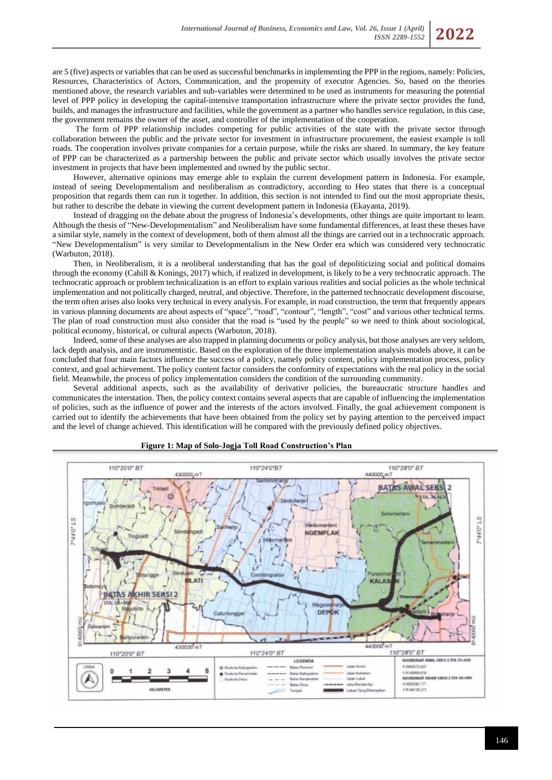are 5 (five) aspects or variables that can be used as successful benchmarks in implementing the PPP in the regions, namely: Policies, Resources, Characteristics of Actors, Communication, and the propensity of executor Agencies. So, based on the theories mentioned above, the research variables and sub-variables were determined to be used as instruments for measuring the potential level of PPP policy in developing the capital-intensive transportation infrastructure where the private sector provides the fund, builds, and manages the infrastructure and facilities, while the government as a partner who handles service regulation, in this case, the government remains the owner of the asset, and controller of the implementation of the cooperation.

The form of PPP relationship includes competing for public activities of the state with the private sector through collaboration between the public and the private sector for investment in infrastructure procurement, the easiest example is toll roads. The cooperation involves private companies for a certain purpose, while the risks are shared. In summary, the key feature of PPP can be characterized as a partnership between the public and private sector which usually involves the private sector investment in projects that have been implemented and owned by the public sector.

However, alternative opinions may emerge able to explain the current development pattern in Indonesia. For example, instead of seeing Developmentalism and neoliberalism as contradictory, according to Heo states that there is a conceptual proposition that regards them can run it together. In addition, this section is not intended to find out the most appropriate thesis, but rather to describe the debate in viewing the current development pattern in Indonesia (Ekayanta, 2019).

Instead of dragging on the debate about the progress of Indonesia's developments, other things are quite important to learn. Although the thesis of "New-Developmentalism" and Neoliberalism have some fundamental differences, at least these theses have a similar style, namely in the context of development, both of them almost all the things are carried out in a technocratic approach. "New Developmentalism" is very similar to Developmentalism in the New Order era which was considered very technocratic (Warbuton, 2018).

Then, in Neoliberalism, it is a neoliberal understanding that has the goal of depoliticizing social and political domains through the economy (Cahill & Konings, 2017) which, if realized in development, is likely to be a very technocratic approach. The technocratic approach or problem technicalization is an effort to explain various realities and social policies as the whole technical implementation and not politically charged, neutral, and objective. Therefore, in the patterned technocratic development discourse, the term often arises also looks very technical in every analysis. For example, in road construction, the term that frequently appears in various planning documents are about aspects of "space", "road", "contour", "length", "cost" and various other technical terms. The plan of road construction must also consider that the road is "used by the people" so we need to think about sociological, political economy, historical, or cultural aspects (Warbuton, 2018).

Indeed, some of these analyses are also trapped in planning documents or policy analysis, but those analyses are very seldom, lack depth analysis, and are instrumentistic. Based on the exploration of the three implementation analysis models above, it can be concluded that four main factors influence the success of a policy, namely policy content, policy implementation process, policy context, and goal achievement. The policy content factor considers the conformity of expectations with the real policy in the social field. Meanwhile, the process of policy implementation considers the condition of the surrounding community.

Several additional aspects, such as the availability of derivative policies, the bureaucratic structure handles and communicates the interstation. Then, the policy context contains several aspects that are capable of influencing the implementation of policies, such as the influence of power and the interests of the actors involved. Finally, the goal achievement component is carried out to identify the achievements that have been obtained from the policy set by paying attention to the perceived impact and the level of change achieved. This identification will be compared with the previously defined policy objectives.



#### **Figure 1: Map of Solo-Jogja Toll Road Construction's Plan**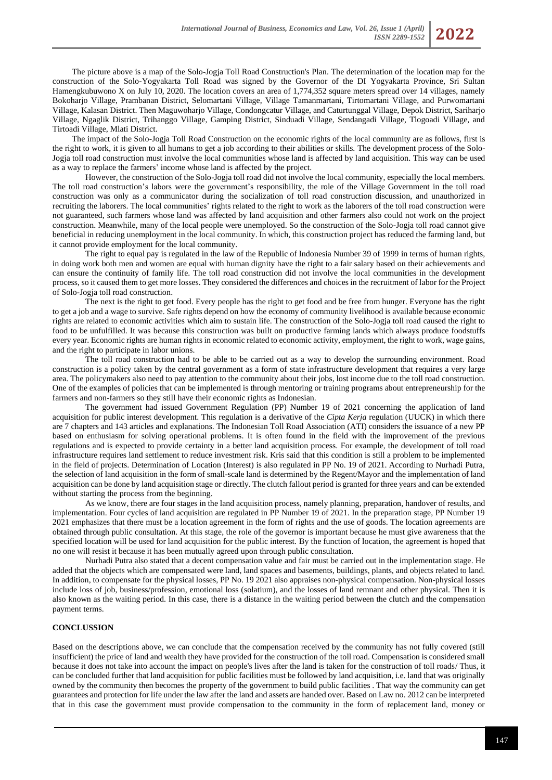The picture above is a map of the Solo-Jogja Toll Road Construction's Plan. The determination of the location map for the construction of the Solo-Yogyakarta Toll Road was signed by the Governor of the DI Yogyakarta Province, Sri Sultan Hamengkubuwono X on July 10, 2020. The location covers an area of 1,774,352 square meters spread over 14 villages, namely Bokoharjo Village, Prambanan District, Selomartani Village, Village Tamanmartani, Tirtomartani Village, and Purwomartani Village, Kalasan District. Then Maguwoharjo Village, Condongcatur Village, and Caturtunggal Village, Depok District, Sariharjo Village, Ngaglik District, Trihanggo Village, Gamping District, Sinduadi Village, Sendangadi Village, Tlogoadi Village, and Tirtoadi Village, Mlati District.

The impact of the Solo-Jogja Toll Road Construction on the economic rights of the local community are as follows, first is the right to work, it is given to all humans to get a job according to their abilities or skills. The development process of the Solo-Jogja toll road construction must involve the local communities whose land is affected by land acquisition. This way can be used as a way to replace the farmers' income whose land is affected by the project.

However, the construction of the Solo-Jogja toll road did not involve the local community, especially the local members. The toll road construction's labors were the government's responsibility, the role of the Village Government in the toll road construction was only as a communicator during the socialization of toll road construction discussion, and unauthorized in recruiting the laborers. The local communities' rights related to the right to work as the laborers of the toll road construction were not guaranteed, such farmers whose land was affected by land acquisition and other farmers also could not work on the project construction. Meanwhile, many of the local people were unemployed. So the construction of the Solo-Jogja toll road cannot give beneficial in reducing unemployment in the local community. In which, this construction project has reduced the farming land, but it cannot provide employment for the local community.

The right to equal pay is regulated in the law of the Republic of Indonesia Number 39 of 1999 in terms of human rights, in doing work both men and women are equal with human dignity have the right to a fair salary based on their achievements and can ensure the continuity of family life. The toll road construction did not involve the local communities in the development process, so it caused them to get more losses. They considered the differences and choices in the recruitment of labor for the Project of Solo-Jogja toll road construction.

The next is the right to get food. Every people has the right to get food and be free from hunger. Everyone has the right to get a job and a wage to survive. Safe rights depend on how the economy of community livelihood is available because economic rights are related to economic activities which aim to sustain life. The construction of the Solo-Jogja toll road caused the right to food to be unfulfilled. It was because this construction was built on productive farming lands which always produce foodstuffs every year. Economic rights are human rights in economic related to economic activity, employment, the right to work, wage gains, and the right to participate in labor unions.

The toll road construction had to be able to be carried out as a way to develop the surrounding environment. Road construction is a policy taken by the central government as a form of state infrastructure development that requires a very large area. The policymakers also need to pay attention to the community about their jobs, lost income due to the toll road construction. One of the examples of policies that can be implemented is through mentoring or training programs about entrepreneurship for the farmers and non-farmers so they still have their economic rights as Indonesian.

The government had issued Government Regulation (PP) Number 19 of 2021 concerning the application of land acquisition for public interest development. This regulation is a derivative of the *Cipta Kerja* regulation (UUCK) in which there are 7 chapters and 143 articles and explanations. The Indonesian Toll Road Association (ATI) considers the issuance of a new PP based on enthusiasm for solving operational problems. It is often found in the field with the improvement of the previous regulations and is expected to provide certainty in a better land acquisition process. For example, the development of toll road infrastructure requires land settlement to reduce investment risk. Kris said that this condition is still a problem to be implemented in the field of projects. Determination of Location (Interest) is also regulated in PP No. 19 of 2021. According to Nurhadi Putra, the selection of land acquisition in the form of small-scale land is determined by the Regent/Mayor and the implementation of land acquisition can be done by land acquisition stage or directly. The clutch fallout period is granted for three years and can be extended without starting the process from the beginning.

As we know, there are four stages in the land acquisition process, namely planning, preparation, handover of results, and implementation. Four cycles of land acquisition are regulated in PP Number 19 of 2021. In the preparation stage, PP Number 19 2021 emphasizes that there must be a location agreement in the form of rights and the use of goods. The location agreements are obtained through public consultation. At this stage, the role of the governor is important because he must give awareness that the specified location will be used for land acquisition for the public interest. By the function of location, the agreement is hoped that no one will resist it because it has been mutually agreed upon through public consultation.

Nurhadi Putra also stated that a decent compensation value and fair must be carried out in the implementation stage. He added that the objects which are compensated were land, land spaces and basements, buildings, plants, and objects related to land. In addition, to compensate for the physical losses, PP No. 19 2021 also appraises non-physical compensation. Non-physical losses include loss of job, business/profession, emotional loss (solatium), and the losses of land remnant and other physical. Then it is also known as the waiting period. In this case, there is a distance in the waiting period between the clutch and the compensation payment terms.

## **CONCLUSSION**

Based on the descriptions above, we can conclude that the compensation received by the community has not fully covered (still insufficient) the price of land and wealth they have provided for the construction of the toll road. Compensation is considered small because it does not take into account the impact on people's lives after the land is taken for the construction of toll roads/ Thus, it can be concluded further that land acquisition for public facilities must be followed by land acquisition, i.e. land that was originally owned by the community then becomes the property of the government to build public facilities . That way the community can get guarantees and protection for life under the law after the land and assets are handed over. Based on Law no. 2012 can be interpreted that in this case the government must provide compensation to the community in the form of replacement land, money or